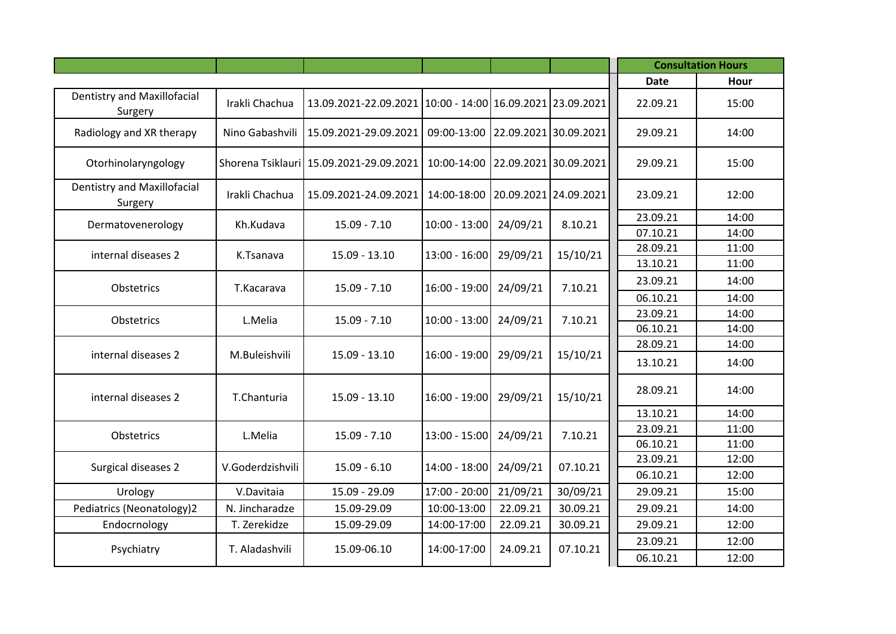|                                               |                  |                                                                 |                 |          |                       |             | <b>Consultation Hours</b> |
|-----------------------------------------------|------------------|-----------------------------------------------------------------|-----------------|----------|-----------------------|-------------|---------------------------|
|                                               |                  |                                                                 |                 |          |                       | <b>Date</b> | Hour                      |
| <b>Dentistry and Maxillofacial</b><br>Surgery | Irakli Chachua   | 13.09.2021-22.09.2021   10:00 - 14:00   16.09.2021   23.09.2021 |                 |          |                       | 22.09.21    | 15:00                     |
| Radiology and XR therapy                      | Nino Gabashvili  | 15.09.2021-29.09.2021                                           | 09:00-13:00     |          | 22.09.2021 30.09.2021 | 29.09.21    | 14:00                     |
| Otorhinolaryngology                           |                  | Shorena Tsiklauri 15.09.2021-29.09.2021                         | 10:00-14:00     |          | 22.09.2021 30.09.2021 | 29.09.21    | 15:00                     |
| <b>Dentistry and Maxillofacial</b><br>Surgery | Irakli Chachua   | 15.09.2021-24.09.2021                                           | 14:00-18:00     |          | 20.09.2021 24.09.2021 | 23.09.21    | 12:00                     |
| Dermatovenerology                             | Kh.Kudava        | $15.09 - 7.10$                                                  | $10:00 - 13:00$ | 24/09/21 | 8.10.21               | 23.09.21    | 14:00                     |
|                                               |                  |                                                                 |                 |          |                       | 07.10.21    | 14:00                     |
| internal diseases 2                           | K.Tsanava        | 15.09 - 13.10                                                   | 13:00 - 16:00   | 29/09/21 | 15/10/21              | 28.09.21    | 11:00                     |
|                                               |                  |                                                                 |                 |          |                       | 13.10.21    | 11:00                     |
| Obstetrics                                    | T.Kacarava       | $15.09 - 7.10$                                                  | 16:00 - 19:00   | 24/09/21 | 7.10.21               | 23.09.21    | 14:00                     |
|                                               |                  |                                                                 |                 |          |                       | 06.10.21    | 14:00                     |
| Obstetrics                                    | L.Melia          | $15.09 - 7.10$                                                  | $10:00 - 13:00$ | 24/09/21 | 7.10.21               | 23.09.21    | 14:00                     |
|                                               |                  |                                                                 |                 |          |                       | 06.10.21    | 14:00                     |
|                                               |                  |                                                                 |                 |          |                       | 28.09.21    | 14:00                     |
| internal diseases 2                           | M.Buleishvili    | $15.09 - 13.10$                                                 | 16:00 - 19:00   | 29/09/21 | 15/10/21              | 13.10.21    | 14:00                     |
| internal diseases 2                           | T.Chanturia      | $15.09 - 13.10$                                                 | 16:00 - 19:00   | 29/09/21 | 15/10/21              | 28.09.21    | 14:00                     |
|                                               |                  |                                                                 |                 |          |                       | 13.10.21    | 14:00                     |
| Obstetrics                                    | L.Melia          | $15.09 - 7.10$                                                  | 13:00 - 15:00   | 24/09/21 | 7.10.21               | 23.09.21    | 11:00                     |
|                                               |                  |                                                                 |                 |          |                       | 06.10.21    | 11:00                     |
| Surgical diseases 2                           | V.Goderdzishvili | $15.09 - 6.10$                                                  | 14:00 - 18:00   | 24/09/21 | 07.10.21              | 23.09.21    | 12:00                     |
|                                               |                  |                                                                 |                 |          |                       | 06.10.21    | 12:00                     |
| Urology                                       | V.Davitaia       | 15.09 - 29.09                                                   | 17:00 - 20:00   | 21/09/21 | 30/09/21              | 29.09.21    | 15:00                     |
| Pediatrics (Neonatology)2                     | N. Jincharadze   | 15.09-29.09                                                     | 10:00-13:00     | 22.09.21 | 30.09.21              | 29.09.21    | 14:00                     |
| Endocrnology                                  | T. Zerekidze     | 15.09-29.09                                                     | 14:00-17:00     | 22.09.21 | 30.09.21              | 29.09.21    | 12:00                     |
|                                               |                  |                                                                 |                 |          |                       | 23.09.21    | 12:00                     |
| Psychiatry                                    | T. Aladashvili   | 15.09-06.10                                                     | 14:00-17:00     | 24.09.21 | 07.10.21              | 06.10.21    | 12:00                     |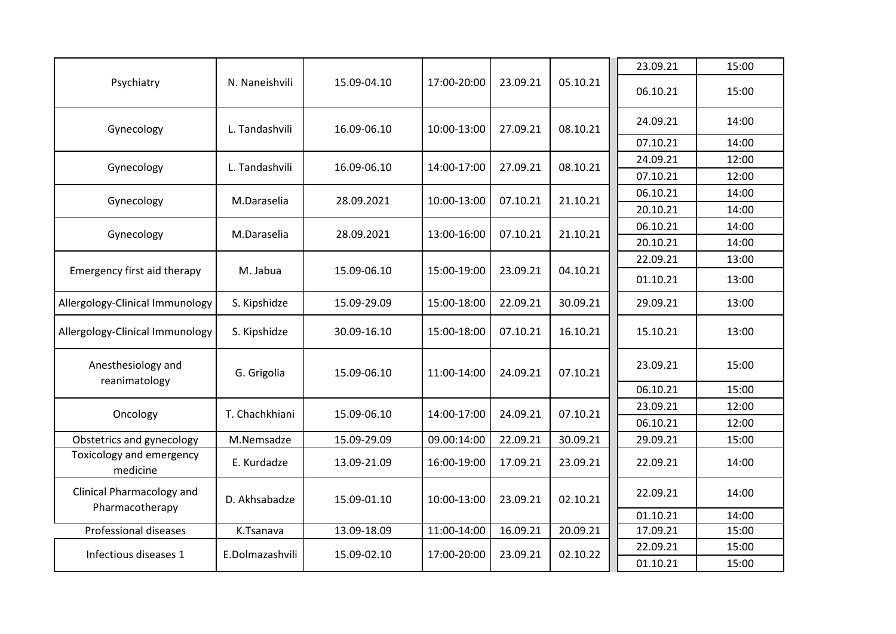|                                              |                 |             |             |          |          | 23.09.21 | 15:00 |
|----------------------------------------------|-----------------|-------------|-------------|----------|----------|----------|-------|
| Psychiatry                                   | N. Naneishvili  | 15.09-04.10 | 17:00-20:00 | 23.09.21 | 05.10.21 | 06.10.21 | 15:00 |
| Gynecology                                   | L. Tandashvili  | 16.09-06.10 | 10:00-13:00 | 27.09.21 | 08.10.21 | 24.09.21 | 14:00 |
|                                              |                 |             |             |          |          | 07.10.21 | 14:00 |
| Gynecology                                   | L. Tandashvili  | 16.09-06.10 | 14:00-17:00 | 27.09.21 | 08.10.21 | 24.09.21 | 12:00 |
|                                              |                 |             |             |          |          | 07.10.21 | 12:00 |
| Gynecology                                   | M.Daraselia     | 28.09.2021  | 10:00-13:00 | 07.10.21 | 21.10.21 | 06.10.21 | 14:00 |
|                                              |                 |             |             |          |          | 20.10.21 | 14:00 |
| Gynecology                                   | M.Daraselia     | 28.09.2021  | 13:00-16:00 | 07.10.21 | 21.10.21 | 06.10.21 | 14:00 |
|                                              |                 |             |             |          |          | 20.10.21 | 14:00 |
|                                              |                 |             |             |          |          | 22.09.21 | 13:00 |
| Emergency first aid therapy                  | M. Jabua        | 15.09-06.10 | 15:00-19:00 | 23.09.21 | 04.10.21 | 01.10.21 | 13:00 |
| Allergology-Clinical Immunology              | S. Kipshidze    | 15.09-29.09 | 15:00-18:00 | 22.09.21 | 30.09.21 | 29.09.21 | 13:00 |
| Allergology-Clinical Immunology              | S. Kipshidze    | 30.09-16.10 | 15:00-18:00 | 07.10.21 | 16.10.21 | 15.10.21 | 13:00 |
| Anesthesiology and<br>reanimatology          | G. Grigolia     | 15.09-06.10 | 11:00-14:00 | 24.09.21 | 07.10.21 | 23.09.21 | 15:00 |
|                                              |                 |             |             |          |          | 06.10.21 | 15:00 |
| Oncology                                     | T. Chachkhiani  | 15.09-06.10 | 14:00-17:00 | 24.09.21 | 07.10.21 | 23.09.21 | 12:00 |
|                                              |                 |             |             |          |          | 06.10.21 | 12:00 |
| Obstetrics and gynecology                    | M.Nemsadze      | 15.09-29.09 | 09.00:14:00 | 22.09.21 | 30.09.21 | 29.09.21 | 15:00 |
| Toxicology and emergency<br>medicine         | E. Kurdadze     | 13.09-21.09 | 16:00-19:00 | 17.09.21 | 23.09.21 | 22.09.21 | 14:00 |
| Clinical Pharmacology and<br>Pharmacotherapy | D. Akhsabadze   | 15.09-01.10 | 10:00-13:00 | 23.09.21 | 02.10.21 | 22.09.21 | 14:00 |
|                                              |                 |             |             |          |          | 01.10.21 | 14:00 |
| Professional diseases                        | K.Tsanava       | 13.09-18.09 | 11:00-14:00 | 16.09.21 | 20.09.21 | 17.09.21 | 15:00 |
| Infectious diseases 1                        | E.Dolmazashvili | 15.09-02.10 | 17:00-20:00 | 23.09.21 | 02.10.22 | 22.09.21 | 15:00 |
|                                              |                 |             |             |          |          | 01.10.21 | 15:00 |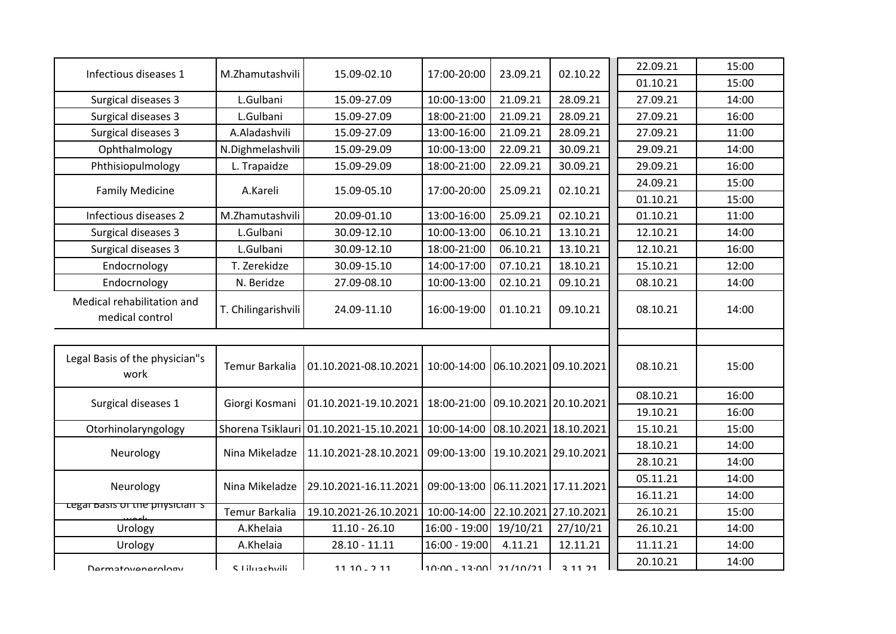| Infectious diseases 1                         | M.Zhamutashvili     | 15.09-02.10                             | 17:00-20:00                           | 23.09.21              | 02.10.22 | 22.09.21 | 15:00 |
|-----------------------------------------------|---------------------|-----------------------------------------|---------------------------------------|-----------------------|----------|----------|-------|
|                                               |                     |                                         |                                       |                       |          | 01.10.21 | 15:00 |
| Surgical diseases 3                           | L.Gulbani           | 15.09-27.09                             | 10:00-13:00                           | 21.09.21              | 28.09.21 | 27.09.21 | 14:00 |
| Surgical diseases 3                           | L.Gulbani           | 15.09-27.09                             | 18:00-21:00                           | 21.09.21              | 28.09.21 | 27.09.21 | 16:00 |
| Surgical diseases 3                           | A.Aladashvili       | 15.09-27.09                             | 13:00-16:00                           | 21.09.21              | 28.09.21 | 27.09.21 | 11:00 |
| Ophthalmology                                 | N.Dighmelashvili    | 15.09-29.09                             | 10:00-13:00                           | 22.09.21              | 30.09.21 | 29.09.21 | 14:00 |
| Phthisiopulmology                             | L. Trapaidze        | 15.09-29.09                             | 18:00-21:00                           | 22.09.21              | 30.09.21 | 29.09.21 | 16:00 |
| <b>Family Medicine</b>                        | A.Kareli            | 15.09-05.10                             | 17:00-20:00                           | 25.09.21              | 02.10.21 | 24.09.21 | 15:00 |
|                                               |                     |                                         |                                       |                       |          | 01.10.21 | 15:00 |
| Infectious diseases 2                         | M.Zhamutashvili     | 20.09-01.10                             | 13:00-16:00                           | 25.09.21              | 02.10.21 | 01.10.21 | 11:00 |
| Surgical diseases 3                           | L.Gulbani           | 30.09-12.10                             | 10:00-13:00                           | 06.10.21              | 13.10.21 | 12.10.21 | 14:00 |
| Surgical diseases 3                           | L.Gulbani           | 30.09-12.10                             | 18:00-21:00                           | 06.10.21              | 13.10.21 | 12.10.21 | 16:00 |
| Endocrnology                                  | T. Zerekidze        | 30.09-15.10                             | 14:00-17:00                           | 07.10.21              | 18.10.21 | 15.10.21 | 12:00 |
| Endocrnology                                  | N. Beridze          | 27.09-08.10                             | 10:00-13:00                           | 02.10.21              | 09.10.21 | 08.10.21 | 14:00 |
| Medical rehabilitation and<br>medical control | T. Chilingarishvili | 24.09-11.10                             | 16:00-19:00                           | 01.10.21              | 09.10.21 | 08.10.21 | 14:00 |
|                                               |                     |                                         |                                       |                       |          |          |       |
| Legal Basis of the physician"s<br>work        | Temur Barkalia      | 01.10.2021-08.10.2021                   | 10:00-14:00 06.10.2021 09.10.2021     |                       |          | 08.10.21 | 15:00 |
|                                               |                     |                                         |                                       |                       |          | 08.10.21 | 16:00 |
| Surgical diseases 1                           | Giorgi Kosmani      | 01.10.2021-19.10.2021                   | 18:00-21:00                           | 09.10.2021 20.10.2021 |          | 19.10.21 | 16:00 |
| Otorhinolaryngology                           |                     | Shorena Tsiklauri 01.10.2021-15.10.2021 | 10:00-14:00                           | 08.10.2021 18.10.2021 |          | 15.10.21 | 15:00 |
|                                               |                     |                                         |                                       |                       |          | 18.10.21 | 14:00 |
| Neurology                                     | Nina Mikeladze      | 11.10.2021-28.10.2021                   | 09:00-13:00   19.10.2021   29.10.2021 |                       |          | 28.10.21 | 14:00 |
|                                               |                     |                                         |                                       |                       |          | 05.11.21 | 14:00 |
| Neurology                                     | Nina Mikeladze      | 29.10.2021-16.11.2021                   | 09:00-13:00 06.11.2021 17.11.2021     |                       |          | 16.11.21 | 14:00 |
| <del>Legai basis of the physician s</del>     | Temur Barkalia      | 19.10.2021-26.10.2021                   | 10:00-14:00                           | 22.10.2021 27.10.2021 |          | 26.10.21 | 15:00 |
| Urology                                       | A.Khelaia           | $11.10 - 26.10$                         | 16:00 - 19:00                         | 19/10/21              | 27/10/21 | 26.10.21 | 14:00 |
|                                               |                     |                                         |                                       |                       |          |          |       |
| Urology                                       | A.Khelaia           | $28.10 - 11.11$                         | $16:00 - 19:00$                       | 4.11.21               | 12.11.21 | 11.11.21 | 14:00 |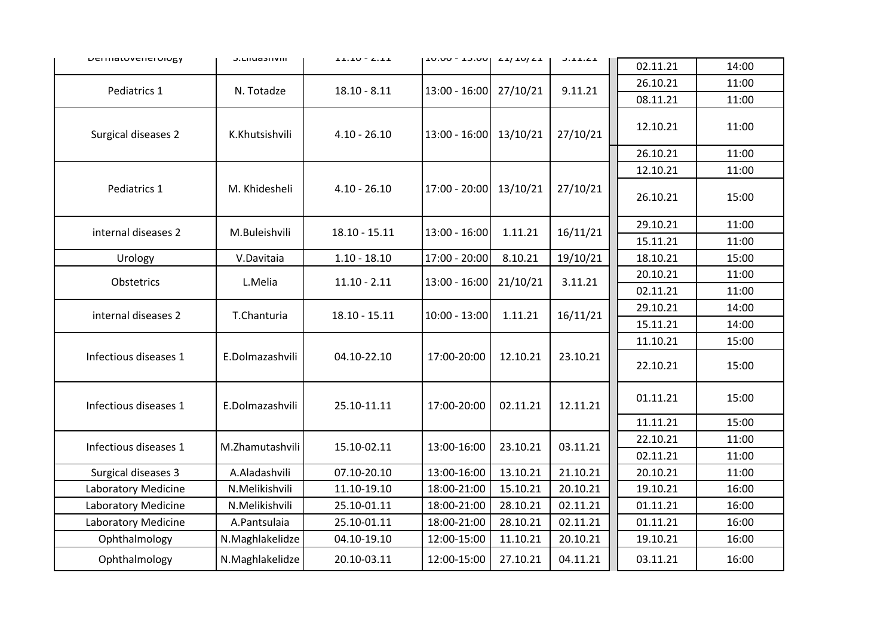| <b>DEITIGLUVETIEI UIUKY</b> | <b>J.LIIUAJIIVIII</b> | בבוגר - טבובב   | TO.OU - TO.OU   ZI/ IU/ZI |          | J.L.L.L.L | 02.11.21 | 14:00 |
|-----------------------------|-----------------------|-----------------|---------------------------|----------|-----------|----------|-------|
|                             |                       |                 |                           |          |           | 26.10.21 | 11:00 |
| Pediatrics 1                | N. Totadze            | $18.10 - 8.11$  | $13:00 - 16:00$           | 27/10/21 | 9.11.21   | 08.11.21 | 11:00 |
| Surgical diseases 2         | K.Khutsishvili        | $4.10 - 26.10$  | $13:00 - 16:00$           | 13/10/21 | 27/10/21  | 12.10.21 | 11:00 |
|                             |                       |                 |                           |          |           | 26.10.21 | 11:00 |
|                             |                       |                 |                           |          |           | 12.10.21 | 11:00 |
| Pediatrics 1                | M. Khidesheli         | $4.10 - 26.10$  | 17:00 - 20:00             | 13/10/21 | 27/10/21  | 26.10.21 | 15:00 |
|                             |                       |                 |                           |          |           | 29.10.21 | 11:00 |
| internal diseases 2         | M.Buleishvili         | $18.10 - 15.11$ | $13:00 - 16:00$           | 1.11.21  | 16/11/21  | 15.11.21 | 11:00 |
| Urology                     | V.Davitaia            | $1.10 - 18.10$  | 17:00 - 20:00             | 8.10.21  | 19/10/21  | 18.10.21 | 15:00 |
| Obstetrics                  | L.Melia               | $11.10 - 2.11$  | $13:00 - 16:00$           | 21/10/21 | 3.11.21   | 20.10.21 | 11:00 |
|                             |                       |                 |                           |          |           | 02.11.21 | 11:00 |
| internal diseases 2         | T.Chanturia           | $18.10 - 15.11$ | 10:00 - 13:00             | 1.11.21  | 16/11/21  | 29.10.21 | 14:00 |
|                             |                       |                 |                           |          |           | 15.11.21 | 14:00 |
|                             |                       |                 |                           |          |           | 11.10.21 | 15:00 |
| Infectious diseases 1       | E.Dolmazashvili       | 04.10-22.10     | 17:00-20:00               | 12.10.21 | 23.10.21  | 22.10.21 | 15:00 |
| Infectious diseases 1       | E.Dolmazashvili       | 25.10-11.11     | 17:00-20:00               | 02.11.21 | 12.11.21  | 01.11.21 | 15:00 |
|                             |                       |                 |                           |          |           | 11.11.21 | 15:00 |
| Infectious diseases 1       | M.Zhamutashvili       | 15.10-02.11     | 13:00-16:00               | 23.10.21 | 03.11.21  | 22.10.21 | 11:00 |
|                             |                       |                 |                           |          |           | 02.11.21 | 11:00 |
| Surgical diseases 3         | A.Aladashvili         | 07.10-20.10     | 13:00-16:00               | 13.10.21 | 21.10.21  | 20.10.21 | 11:00 |
| Laboratory Medicine         | N.Melikishvili        | 11.10-19.10     | 18:00-21:00               | 15.10.21 | 20.10.21  | 19.10.21 | 16:00 |
| Laboratory Medicine         | N.Melikishvili        | 25.10-01.11     | 18:00-21:00               | 28.10.21 | 02.11.21  | 01.11.21 | 16:00 |
| Laboratory Medicine         | A.Pantsulaia          | 25.10-01.11     | 18:00-21:00               | 28.10.21 | 02.11.21  | 01.11.21 | 16:00 |
| Ophthalmology               | N.Maghlakelidze       | 04.10-19.10     | 12:00-15:00               | 11.10.21 | 20.10.21  | 19.10.21 | 16:00 |
| Ophthalmology               | N.Maghlakelidze       | 20.10-03.11     | 12:00-15:00               | 27.10.21 | 04.11.21  | 03.11.21 | 16:00 |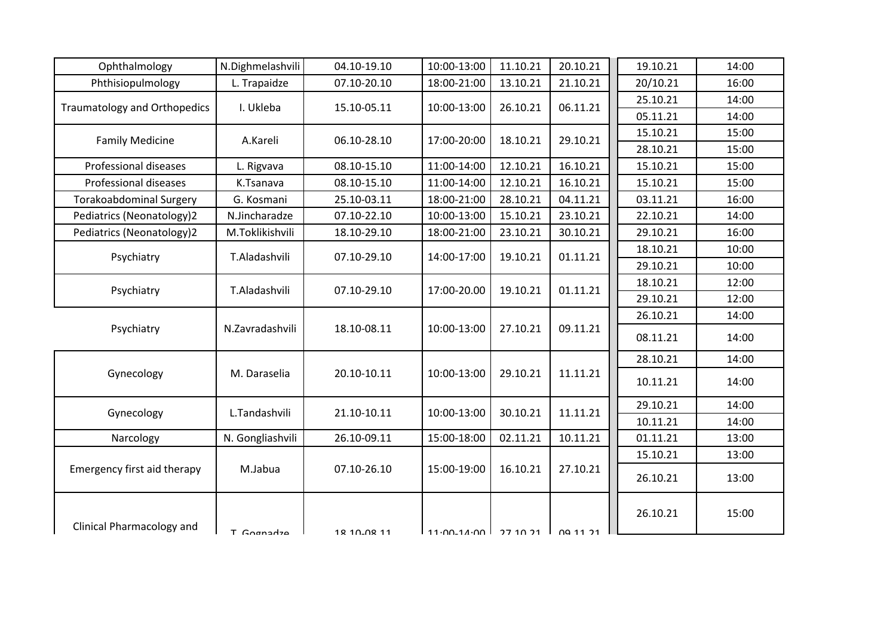| Ophthalmology                       | N.Dighmelashvili | 04.10-19.10 | 10:00-13:00                | 11.10.21 | 20.10.21        | 19.10.21 | 14:00 |  |
|-------------------------------------|------------------|-------------|----------------------------|----------|-----------------|----------|-------|--|
| Phthisiopulmology                   | L. Trapaidze     | 07.10-20.10 | 18:00-21:00                | 13.10.21 | 21.10.21        | 20/10.21 | 16:00 |  |
| <b>Traumatology and Orthopedics</b> | I. Ukleba        | 15.10-05.11 | 10:00-13:00                | 26.10.21 | 06.11.21        | 25.10.21 | 14:00 |  |
|                                     |                  |             |                            |          |                 | 05.11.21 | 14:00 |  |
| <b>Family Medicine</b>              | A.Kareli         | 06.10-28.10 | 17:00-20:00                | 18.10.21 | 29.10.21        | 15.10.21 | 15:00 |  |
|                                     |                  |             |                            |          |                 | 28.10.21 | 15:00 |  |
| Professional diseases               | L. Rigvava       | 08.10-15.10 | 11:00-14:00                | 12.10.21 | 16.10.21        | 15.10.21 | 15:00 |  |
| Professional diseases               | K.Tsanava        | 08.10-15.10 | 11:00-14:00                | 12.10.21 | 16.10.21        | 15.10.21 | 15:00 |  |
| <b>Torakoabdominal Surgery</b>      | G. Kosmani       | 25.10-03.11 | 18:00-21:00                | 28.10.21 | 04.11.21        | 03.11.21 | 16:00 |  |
| Pediatrics (Neonatology)2           | N.Jincharadze    | 07.10-22.10 | 10:00-13:00                | 15.10.21 | 23.10.21        | 22.10.21 | 14:00 |  |
| Pediatrics (Neonatology)2           | M.Toklikishvili  | 18.10-29.10 | 18:00-21:00                | 23.10.21 | 30.10.21        | 29.10.21 | 16:00 |  |
| Psychiatry                          | T.Aladashvili    | 07.10-29.10 | 14:00-17:00                | 19.10.21 | 01.11.21        | 18.10.21 | 10:00 |  |
|                                     |                  |             |                            |          |                 | 29.10.21 | 10:00 |  |
| Psychiatry                          | T.Aladashvili    | 07.10-29.10 | 17:00-20.00                | 19.10.21 | 01.11.21        | 18.10.21 | 12:00 |  |
|                                     |                  |             |                            |          |                 | 29.10.21 | 12:00 |  |
|                                     |                  |             |                            |          |                 | 26.10.21 | 14:00 |  |
| Psychiatry                          | N.Zavradashvili  | 18.10-08.11 | 10:00-13:00                | 27.10.21 | 09.11.21        | 08.11.21 | 14:00 |  |
|                                     |                  |             |                            |          |                 | 28.10.21 | 14:00 |  |
| Gynecology                          | M. Daraselia     | 20.10-10.11 | 10:00-13:00                | 29.10.21 | 11.11.21        | 10.11.21 | 14:00 |  |
|                                     |                  |             |                            |          |                 | 29.10.21 | 14:00 |  |
| Gynecology                          | L.Tandashvili    | 21.10-10.11 | 10:00-13:00                | 30.10.21 | 11.11.21        | 10.11.21 | 14:00 |  |
| Narcology                           | N. Gongliashvili | 26.10-09.11 | 15:00-18:00                | 02.11.21 | 10.11.21        | 01.11.21 | 13:00 |  |
|                                     |                  |             |                            |          |                 | 15.10.21 | 13:00 |  |
| Emergency first aid therapy         | M.Jabua          | 07.10-26.10 | 15:00-19:00                | 16.10.21 | 27.10.21        | 26.10.21 | 13:00 |  |
| Clinical Pharmacology and           | T Gornadza       | 12 10.02 11 | $11.00 - 11.00$ $77.10.21$ |          | <b>00 11 21</b> | 26.10.21 | 15:00 |  |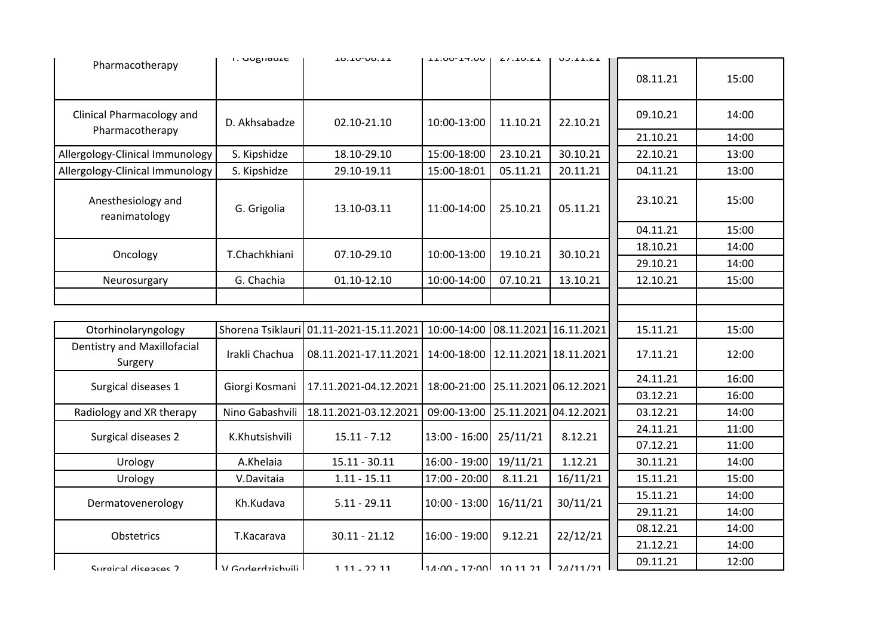|                                        | <b>1.</b> UUBHQULC | <b>TO. TO. OO' TT</b> | <b>LL.UU-L4.UU</b>                    | $L1.10.21$            | UJ.L.L.L |          |       |
|----------------------------------------|--------------------|-----------------------|---------------------------------------|-----------------------|----------|----------|-------|
| Pharmacotherapy                        |                    |                       |                                       |                       |          | 08.11.21 | 15:00 |
| Clinical Pharmacology and              | D. Akhsabadze      | 02.10-21.10           | 10:00-13:00                           | 11.10.21              | 22.10.21 | 09.10.21 | 14:00 |
| Pharmacotherapy                        |                    |                       |                                       |                       |          | 21.10.21 | 14:00 |
| Allergology-Clinical Immunology        | S. Kipshidze       | 18.10-29.10           | 15:00-18:00                           | 23.10.21              | 30.10.21 | 22.10.21 | 13:00 |
| Allergology-Clinical Immunology        | S. Kipshidze       | 29.10-19.11           | 15:00-18:01                           | 05.11.21              | 20.11.21 | 04.11.21 | 13:00 |
| Anesthesiology and<br>reanimatology    | G. Grigolia        | 13.10-03.11           | 11:00-14:00                           | 25.10.21              | 05.11.21 | 23.10.21 | 15:00 |
|                                        |                    |                       |                                       |                       |          | 04.11.21 | 15:00 |
| Oncology                               | T.Chachkhiani      | 07.10-29.10           | 10:00-13:00                           | 19.10.21              | 30.10.21 | 18.10.21 | 14:00 |
|                                        |                    |                       |                                       |                       |          | 29.10.21 | 14:00 |
| Neurosurgary                           | G. Chachia         | 01.10-12.10           | 10:00-14:00                           | 07.10.21              | 13.10.21 | 12.10.21 | 15:00 |
|                                        |                    |                       |                                       |                       |          |          |       |
|                                        |                    |                       |                                       |                       |          |          |       |
| Otorhinolaryngology                    | Shorena Tsiklauri  | 01.11-2021-15.11.2021 | 10:00-14:00                           | 08.11.2021 16.11.2021 |          | 15.11.21 | 15:00 |
| Dentistry and Maxillofacial<br>Surgery | Irakli Chachua     | 08.11.2021-17.11.2021 | 14:00-18:00   12.11.2021   18.11.2021 |                       |          | 17.11.21 | 12:00 |
|                                        |                    | 17.11.2021-04.12.2021 |                                       |                       |          | 24.11.21 | 16:00 |
| Surgical diseases 1                    | Giorgi Kosmani     |                       | 18:00-21:00 25.11.2021 06.12.2021     |                       |          | 03.12.21 | 16:00 |
| Radiology and XR therapy               | Nino Gabashvili    | 18.11.2021-03.12.2021 | 09:00-13:00 25.11.2021 04.12.2021     |                       |          | 03.12.21 | 14:00 |
| Surgical diseases 2                    | K.Khutsishvili     | $15.11 - 7.12$        | $13:00 - 16:00$                       | 25/11/21              | 8.12.21  | 24.11.21 | 11:00 |
|                                        |                    |                       |                                       |                       |          | 07.12.21 | 11:00 |
| Urology                                | A.Khelaia          | $15.11 - 30.11$       | 16:00 - 19:00                         | 19/11/21              | 1.12.21  | 30.11.21 | 14:00 |
| Urology                                | V.Davitaia         | $1.11 - 15.11$        | 17:00 - 20:00                         | 8.11.21               | 16/11/21 | 15.11.21 | 15:00 |
| Dermatovenerology                      | Kh.Kudava          | $5.11 - 29.11$        | $10:00 - 13:00$                       | 16/11/21              | 30/11/21 | 15.11.21 | 14:00 |
|                                        |                    |                       |                                       |                       |          | 29.11.21 | 14:00 |
| Obstetrics                             | T.Kacarava         | $30.11 - 21.12$       | $16:00 - 19:00$                       | 9.12.21               | 22/12/21 | 08.12.21 | 14:00 |
|                                        |                    |                       |                                       |                       |          | 21.12.21 | 14:00 |
|                                        |                    |                       |                                       |                       |          | 09.11.21 | 12:00 |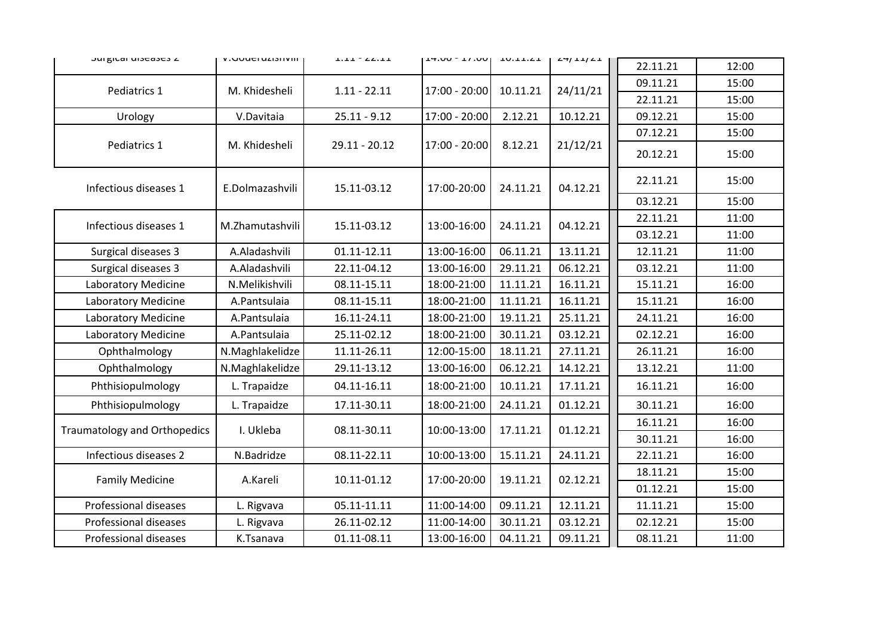| JUI KILAI UIJEAJEJ L                | <b>V. JUUCI UZIJIIVIII</b> | $\bot \bot \bot \bot \top \bot \bot \bot$ | $14.00 - 11.00$ | <b>TO.IT.CI</b> | $\angle + \frac{1}{2}$ |          |       |  |
|-------------------------------------|----------------------------|-------------------------------------------|-----------------|-----------------|------------------------|----------|-------|--|
|                                     |                            |                                           |                 |                 |                        | 22.11.21 | 12:00 |  |
| Pediatrics 1                        | M. Khidesheli              | $1.11 - 22.11$                            | 17:00 - 20:00   | 10.11.21        | 24/11/21               | 09.11.21 | 15:00 |  |
|                                     |                            |                                           |                 |                 |                        | 22.11.21 | 15:00 |  |
| Urology                             | V.Davitaia                 | $25.11 - 9.12$                            | 17:00 - 20:00   | 2.12.21         | 10.12.21               | 09.12.21 | 15:00 |  |
|                                     |                            |                                           |                 |                 |                        | 07.12.21 | 15:00 |  |
| Pediatrics 1                        | M. Khidesheli              | $29.11 - 20.12$                           | 17:00 - 20:00   | 8.12.21         | 21/12/21               | 20.12.21 | 15:00 |  |
| Infectious diseases 1               | E.Dolmazashvili            | 15.11-03.12                               | 17:00-20:00     | 24.11.21        | 04.12.21               | 22.11.21 | 15:00 |  |
|                                     |                            |                                           |                 |                 |                        | 03.12.21 | 15:00 |  |
| Infectious diseases 1               | M.Zhamutashvili            | 15.11-03.12                               | 13:00-16:00     | 24.11.21        | 04.12.21               | 22.11.21 | 11:00 |  |
|                                     |                            |                                           |                 |                 |                        | 03.12.21 | 11:00 |  |
| Surgical diseases 3                 | A.Aladashvili              | 01.11-12.11                               | 13:00-16:00     | 06.11.21        | 13.11.21               | 12.11.21 | 11:00 |  |
| Surgical diseases 3                 | A.Aladashvili              | 22.11-04.12                               | 13:00-16:00     | 29.11.21        | 06.12.21               | 03.12.21 | 11:00 |  |
| Laboratory Medicine                 | N.Melikishvili             | 08.11-15.11                               | 18:00-21:00     | 11.11.21        | 16.11.21               | 15.11.21 | 16:00 |  |
| Laboratory Medicine                 | A.Pantsulaia               | 08.11-15.11                               | 18:00-21:00     | 11.11.21        | 16.11.21               | 15.11.21 | 16:00 |  |
| Laboratory Medicine                 | A.Pantsulaia               | 16.11-24.11                               | 18:00-21:00     | 19.11.21        | 25.11.21               | 24.11.21 | 16:00 |  |
| Laboratory Medicine                 | A.Pantsulaia               | 25.11-02.12                               | 18:00-21:00     | 30.11.21        | 03.12.21               | 02.12.21 | 16:00 |  |
| Ophthalmology                       | N.Maghlakelidze            | 11.11-26.11                               | 12:00-15:00     | 18.11.21        | 27.11.21               | 26.11.21 | 16:00 |  |
| Ophthalmology                       | N.Maghlakelidze            | 29.11-13.12                               | 13:00-16:00     | 06.12.21        | 14.12.21               | 13.12.21 | 11:00 |  |
| Phthisiopulmology                   | L. Trapaidze               | 04.11-16.11                               | 18:00-21:00     | 10.11.21        | 17.11.21               | 16.11.21 | 16:00 |  |
| Phthisiopulmology                   | L. Trapaidze               | 17.11-30.11                               | 18:00-21:00     | 24.11.21        | 01.12.21               | 30.11.21 | 16:00 |  |
|                                     | I. Ukleba                  | 08.11-30.11                               |                 | 17.11.21        | 01.12.21               | 16.11.21 | 16:00 |  |
| <b>Traumatology and Orthopedics</b> |                            |                                           | 10:00-13:00     |                 |                        | 30.11.21 | 16:00 |  |
| Infectious diseases 2               | N.Badridze                 | 08.11-22.11                               | 10:00-13:00     | 15.11.21        | 24.11.21               | 22.11.21 | 16:00 |  |
|                                     |                            |                                           |                 |                 |                        | 18.11.21 | 15:00 |  |
| <b>Family Medicine</b>              | A.Kareli                   | 10.11-01.12                               | 17:00-20:00     | 19.11.21        | 02.12.21               | 01.12.21 | 15:00 |  |
| Professional diseases               | L. Rigvava                 | 05.11-11.11                               | 11:00-14:00     | 09.11.21        | 12.11.21               | 11.11.21 | 15:00 |  |
| Professional diseases               | L. Rigvava                 | 26.11-02.12                               | 11:00-14:00     | 30.11.21        | 03.12.21               | 02.12.21 | 15:00 |  |
| Professional diseases               | K.Tsanava                  | 01.11-08.11                               | 13:00-16:00     | 04.11.21        | 09.11.21               | 08.11.21 | 11:00 |  |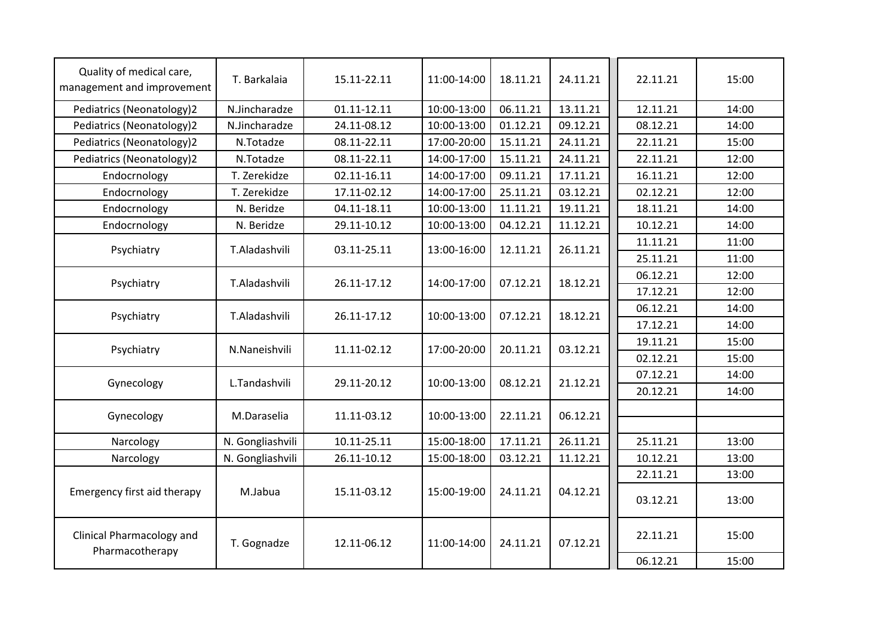| Quality of medical care,<br>management and improvement | T. Barkalaia     | 15.11-22.11 | 11:00-14:00 | 18.11.21 | 24.11.21 | 22.11.21 | 15:00 |
|--------------------------------------------------------|------------------|-------------|-------------|----------|----------|----------|-------|
| Pediatrics (Neonatology)2                              | N.Jincharadze    | 01.11-12.11 | 10:00-13:00 | 06.11.21 | 13.11.21 | 12.11.21 | 14:00 |
| Pediatrics (Neonatology)2                              | N.Jincharadze    | 24.11-08.12 | 10:00-13:00 | 01.12.21 | 09.12.21 | 08.12.21 | 14:00 |
| Pediatrics (Neonatology)2                              | N.Totadze        | 08.11-22.11 | 17:00-20:00 | 15.11.21 | 24.11.21 | 22.11.21 | 15:00 |
| Pediatrics (Neonatology)2                              | N.Totadze        | 08.11-22.11 | 14:00-17:00 | 15.11.21 | 24.11.21 | 22.11.21 | 12:00 |
| Endocrnology                                           | T. Zerekidze     | 02.11-16.11 | 14:00-17:00 | 09.11.21 | 17.11.21 | 16.11.21 | 12:00 |
| Endocrnology                                           | T. Zerekidze     | 17.11-02.12 | 14:00-17:00 | 25.11.21 | 03.12.21 | 02.12.21 | 12:00 |
| Endocrnology                                           | N. Beridze       | 04.11-18.11 | 10:00-13:00 | 11.11.21 | 19.11.21 | 18.11.21 | 14:00 |
| Endocrnology                                           | N. Beridze       | 29.11-10.12 | 10:00-13:00 | 04.12.21 | 11.12.21 | 10.12.21 | 14:00 |
| Psychiatry                                             | T.Aladashvili    | 03.11-25.11 | 13:00-16:00 | 12.11.21 | 26.11.21 | 11.11.21 | 11:00 |
|                                                        |                  |             |             |          |          | 25.11.21 | 11:00 |
| Psychiatry                                             | T.Aladashvili    | 26.11-17.12 | 14:00-17:00 | 07.12.21 | 18.12.21 | 06.12.21 | 12:00 |
|                                                        |                  |             |             |          |          | 17.12.21 | 12:00 |
| Psychiatry                                             | T.Aladashvili    | 26.11-17.12 | 10:00-13:00 | 07.12.21 | 18.12.21 | 06.12.21 | 14:00 |
|                                                        |                  |             |             |          |          | 17.12.21 | 14:00 |
| Psychiatry                                             | N.Naneishvili    | 11.11-02.12 | 17:00-20:00 | 20.11.21 | 03.12.21 | 19.11.21 | 15:00 |
|                                                        |                  |             |             |          |          | 02.12.21 | 15:00 |
| Gynecology                                             | L.Tandashvili    | 29.11-20.12 | 10:00-13:00 | 08.12.21 | 21.12.21 | 07.12.21 | 14:00 |
|                                                        |                  |             |             |          |          | 20.12.21 | 14:00 |
| Gynecology                                             | M.Daraselia      | 11.11-03.12 | 10:00-13:00 | 22.11.21 | 06.12.21 |          |       |
| Narcology                                              | N. Gongliashvili | 10.11-25.11 | 15:00-18:00 | 17.11.21 | 26.11.21 | 25.11.21 | 13:00 |
| Narcology                                              | N. Gongliashvili | 26.11-10.12 | 15:00-18:00 | 03.12.21 | 11.12.21 | 10.12.21 | 13:00 |
|                                                        |                  |             |             |          |          | 22.11.21 | 13:00 |
| Emergency first aid therapy                            | M.Jabua          | 15.11-03.12 | 15:00-19:00 | 24.11.21 | 04.12.21 | 03.12.21 | 13:00 |
| Clinical Pharmacology and<br>Pharmacotherapy           | T. Gognadze      | 12.11-06.12 | 11:00-14:00 | 24.11.21 | 07.12.21 | 22.11.21 | 15:00 |
|                                                        |                  |             |             |          |          | 06.12.21 | 15:00 |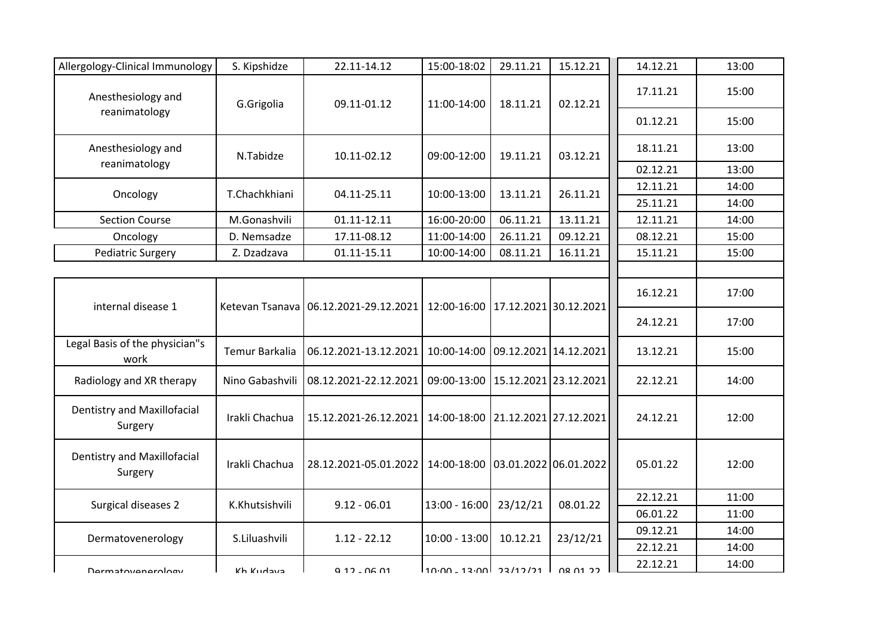| Allergology-Clinical Immunology        | S. Kipshidze    | 22.11-14.12                             | 15:00-18:02                           | 29.11.21 | 15.12.21        | 14.12.21 | 13:00 |
|----------------------------------------|-----------------|-----------------------------------------|---------------------------------------|----------|-----------------|----------|-------|
| Anesthesiology and                     | G.Grigolia      | 09.11-01.12                             | 11:00-14:00                           | 18.11.21 | 02.12.21        | 17.11.21 | 15:00 |
| reanimatology                          |                 |                                         |                                       |          |                 | 01.12.21 | 15:00 |
| Anesthesiology and                     | N.Tabidze       | 10.11-02.12                             | 09:00-12:00                           | 19.11.21 | 03.12.21        | 18.11.21 | 13:00 |
| reanimatology                          |                 |                                         |                                       |          |                 | 02.12.21 | 13:00 |
| Oncology                               | T.Chachkhiani   | 04.11-25.11                             | 10:00-13:00                           | 13.11.21 | 26.11.21        | 12.11.21 | 14:00 |
|                                        |                 |                                         |                                       |          |                 | 25.11.21 | 14:00 |
| <b>Section Course</b>                  | M.Gonashvili    | 01.11-12.11                             | 16:00-20:00                           | 06.11.21 | 13.11.21        | 12.11.21 | 14:00 |
| Oncology                               | D. Nemsadze     | 17.11-08.12                             | 11:00-14:00                           | 26.11.21 | 09.12.21        | 08.12.21 | 15:00 |
| <b>Pediatric Surgery</b>               | Z. Dzadzava     | 01.11-15.11                             | 10:00-14:00                           | 08.11.21 | 16.11.21        | 15.11.21 | 15:00 |
|                                        |                 |                                         |                                       |          |                 |          |       |
| internal disease 1                     |                 | Ketevan Tsanava   06.12.2021-29.12.2021 | 12:00-16:00   17.12.2021   30.12.2021 |          |                 | 16.12.21 | 17:00 |
|                                        |                 |                                         |                                       |          |                 | 24.12.21 | 17:00 |
| Legal Basis of the physician"s<br>work | Temur Barkalia  | 06.12.2021-13.12.2021                   | 10:00-14:00 09.12.2021 14.12.2021     |          |                 | 13.12.21 | 15:00 |
| Radiology and XR therapy               | Nino Gabashvili | 08.12.2021-22.12.2021                   | 09:00-13:00 15.12.2021 23.12.2021     |          |                 | 22.12.21 | 14:00 |
| Dentistry and Maxillofacial<br>Surgery | Irakli Chachua  | 15.12.2021-26.12.2021                   | 14:00-18:00 21.12.2021 27.12.2021     |          |                 | 24.12.21 | 12:00 |
| Dentistry and Maxillofacial<br>Surgery | Irakli Chachua  | 28.12.2021-05.01.2022                   | 14:00-18:00 03.01.2022 06.01.2022     |          |                 | 05.01.22 | 12:00 |
|                                        | K.Khutsishvili  | $9.12 - 06.01$                          | $13:00 - 16:00$                       |          | 08.01.22        | 22.12.21 | 11:00 |
| Surgical diseases 2                    |                 |                                         |                                       | 23/12/21 |                 | 06.01.22 | 11:00 |
|                                        |                 |                                         |                                       |          |                 | 09.12.21 | 14:00 |
| Dermatovenerology                      | S.Liluashvili   | $1.12 - 22.12$                          | $10:00 - 13:00$                       | 10.12.21 | 23/12/21        | 22.12.21 | 14:00 |
| <b>Darmatovanarology</b>               | Kh Kudava       | 0, 12, 06, 01                           | lin:nn <sub>-</sub> 12:nnl 22/12/21 l |          | <b>በՋ በ1 ንን</b> | 22.12.21 | 14:00 |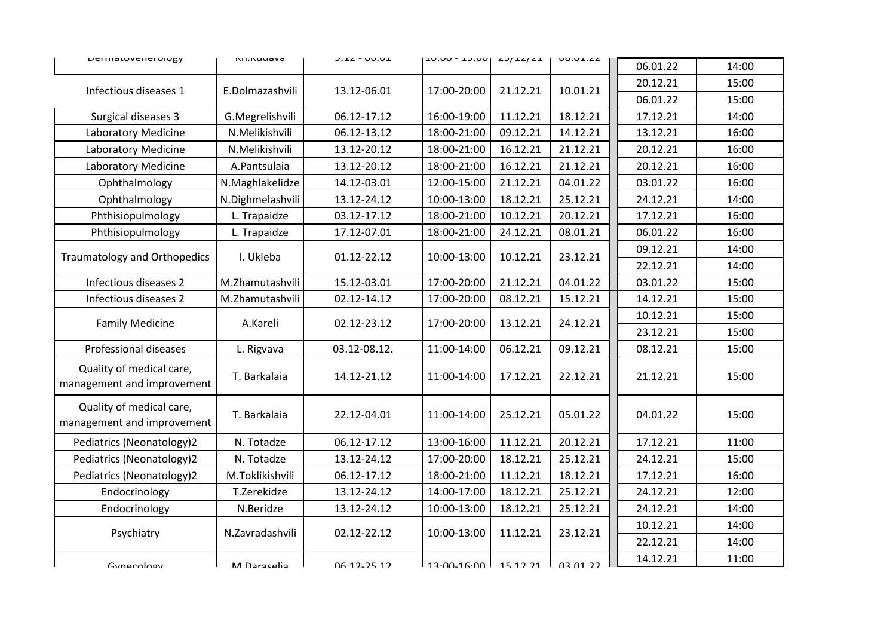| <b>DEFINALUVENER UIUKY</b>                             | <b>NII.NUUQVQ</b> | $J.LL = UU.UL$           | $10.00 - 10.001$ CJ/14/41 |          | <b>UO.UL.ZZ</b> |          |       |  |
|--------------------------------------------------------|-------------------|--------------------------|---------------------------|----------|-----------------|----------|-------|--|
|                                                        |                   |                          |                           |          |                 | 06.01.22 | 14:00 |  |
| Infectious diseases 1                                  | E.Dolmazashvili   | 13.12-06.01              | 17:00-20:00               | 21.12.21 | 10.01.21        | 20.12.21 | 15:00 |  |
|                                                        |                   |                          |                           |          |                 | 06.01.22 | 15:00 |  |
| Surgical diseases 3                                    | G.Megrelishvili   | 06.12-17.12              | 16:00-19:00               | 11.12.21 | 18.12.21        | 17.12.21 | 14:00 |  |
| Laboratory Medicine                                    | N.Melikishvili    | 06.12-13.12              | 18:00-21:00               | 09.12.21 | 14.12.21        | 13.12.21 | 16:00 |  |
| Laboratory Medicine                                    | N.Melikishvili    | 13.12-20.12              | 18:00-21:00               | 16.12.21 | 21.12.21        | 20.12.21 | 16:00 |  |
| Laboratory Medicine                                    | A.Pantsulaia      | 13.12-20.12              | 18:00-21:00               | 16.12.21 | 21.12.21        | 20.12.21 | 16:00 |  |
| Ophthalmology                                          | N.Maghlakelidze   | 14.12-03.01              | 12:00-15:00               | 21.12.21 | 04.01.22        | 03.01.22 | 16:00 |  |
| Ophthalmology                                          | N.Dighmelashvili  | 13.12-24.12              | 10:00-13:00               | 18.12.21 | 25.12.21        | 24.12.21 | 14:00 |  |
| Phthisiopulmology                                      | L. Trapaidze      | 03.12-17.12              | 18:00-21:00               | 10.12.21 | 20.12.21        | 17.12.21 | 16:00 |  |
| Phthisiopulmology                                      | L. Trapaidze      | 17.12-07.01              | 18:00-21:00               | 24.12.21 | 08.01.21        | 06.01.22 | 16:00 |  |
|                                                        |                   |                          |                           |          |                 | 09.12.21 | 14:00 |  |
| <b>Traumatology and Orthopedics</b>                    | I. Ukleba         | 01.12-22.12              | 10:00-13:00               | 10.12.21 | 23.12.21        | 22.12.21 | 14:00 |  |
| Infectious diseases 2                                  | M.Zhamutashvili   | 15.12-03.01              | 17:00-20:00               | 21.12.21 | 04.01.22        | 03.01.22 | 15:00 |  |
| Infectious diseases 2                                  | M.Zhamutashvili   | 02.12-14.12              | 17:00-20:00               | 08.12.21 | 15.12.21        | 14.12.21 | 15:00 |  |
|                                                        |                   |                          |                           |          |                 | 10.12.21 | 15:00 |  |
| <b>Family Medicine</b>                                 | A.Kareli          | 02.12-23.12              | 17:00-20:00               | 13.12.21 | 24.12.21        | 23.12.21 | 15:00 |  |
| Professional diseases                                  | L. Rigvava        | 03.12-08.12.             | 11:00-14:00               | 06.12.21 | 09.12.21        | 08.12.21 | 15:00 |  |
| Quality of medical care,<br>management and improvement | T. Barkalaia      | 14.12-21.12              | 11:00-14:00               | 17.12.21 | 22.12.21        | 21.12.21 | 15:00 |  |
| Quality of medical care,<br>management and improvement | T. Barkalaia      | 22.12-04.01              | 11:00-14:00               | 25.12.21 | 05.01.22        | 04.01.22 | 15:00 |  |
| Pediatrics (Neonatology)2                              | N. Totadze        | 06.12-17.12              | 13:00-16:00               | 11.12.21 | 20.12.21        | 17.12.21 | 11:00 |  |
| Pediatrics (Neonatology)2                              | N. Totadze        | 13.12-24.12              | 17:00-20:00               | 18.12.21 | 25.12.21        | 24.12.21 | 15:00 |  |
| Pediatrics (Neonatology)2                              | M.Toklikishvili   | 06.12-17.12              | 18:00-21:00               | 11.12.21 | 18.12.21        | 17.12.21 | 16:00 |  |
| Endocrinology                                          | T.Zerekidze       | 13.12-24.12              | 14:00-17:00               | 18.12.21 | 25.12.21        | 24.12.21 | 12:00 |  |
| Endocrinology                                          | N.Beridze         | 13.12-24.12              | 10:00-13:00               | 18.12.21 | 25.12.21        | 24.12.21 | 14:00 |  |
|                                                        |                   |                          |                           |          |                 | 10.12.21 | 14:00 |  |
| Psychiatry                                             | N.Zavradashvili   | 02.12-22.12              | 10:00-13:00               | 11.12.21 | 23.12.21        | 22.12.21 | 14:00 |  |
| Gunecology                                             | cilopenen M       | በ6 17 <sub>-</sub> 75 17 | 1 12.00_16.00 15 17 21 1  |          | <b>CC PU SU</b> | 14.12.21 | 11:00 |  |
|                                                        |                   |                          |                           |          |                 |          |       |  |